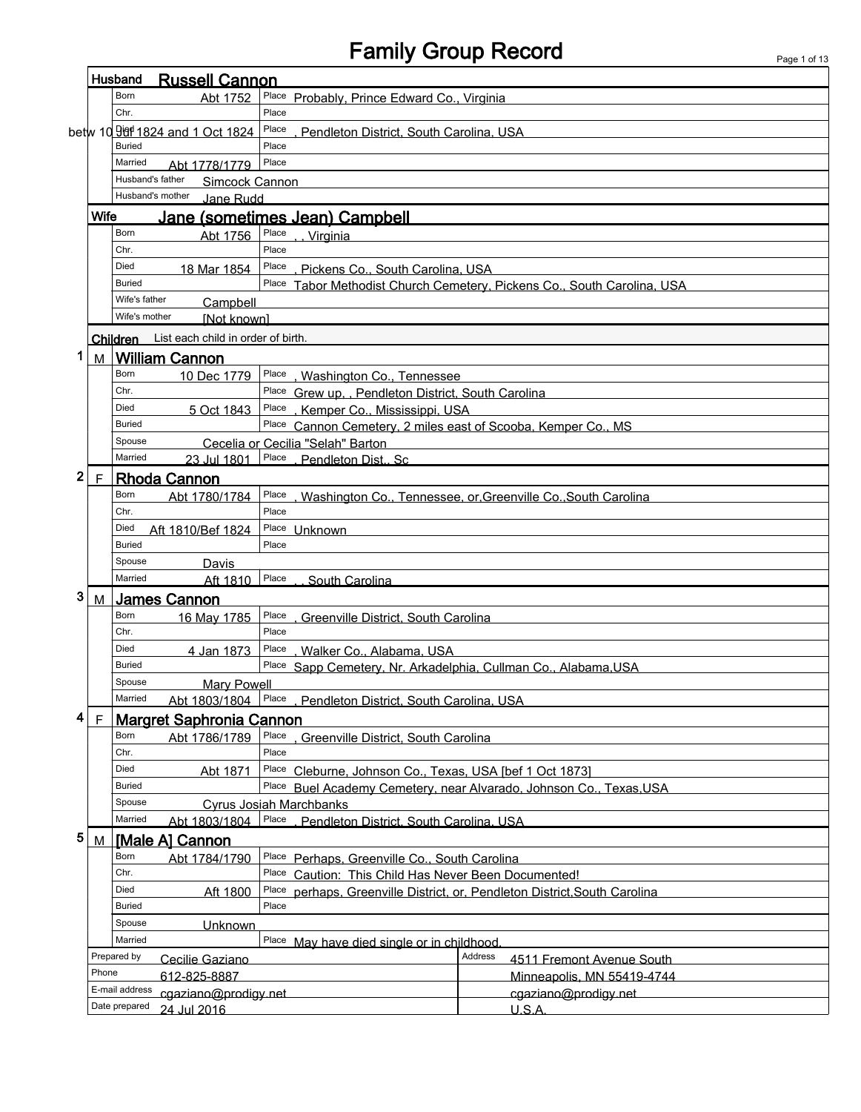# Family Group Record

| Husband<br><b>Russell Cannon</b>                                                         |             |                                                                              |                                                                 |                                                                      |  |  |  |  |
|------------------------------------------------------------------------------------------|-------------|------------------------------------------------------------------------------|-----------------------------------------------------------------|----------------------------------------------------------------------|--|--|--|--|
|                                                                                          |             | Born<br>Abt 1752                                                             | Place Probably, Prince Edward Co., Virginia                     |                                                                      |  |  |  |  |
|                                                                                          |             | Chr.                                                                         | Place                                                           |                                                                      |  |  |  |  |
|                                                                                          |             | betw 10 900 1824 and 1 Oct 1824                                              | Place<br>Pendleton District, South Carolina, USA                |                                                                      |  |  |  |  |
|                                                                                          |             | <b>Buried</b>                                                                | Place                                                           |                                                                      |  |  |  |  |
|                                                                                          |             | Married<br>Abt 1778/1779                                                     | Place                                                           |                                                                      |  |  |  |  |
|                                                                                          |             | Husband's father<br><b>Simcock Cannon</b>                                    |                                                                 |                                                                      |  |  |  |  |
|                                                                                          |             | Husband's mother<br>Jane Rudd                                                |                                                                 |                                                                      |  |  |  |  |
| <b>Wife</b><br>Jane (sometimes Jean) Campbell                                            |             |                                                                              |                                                                 |                                                                      |  |  |  |  |
|                                                                                          |             | Born<br>Abt 1756                                                             | Place<br>Virginia                                               |                                                                      |  |  |  |  |
|                                                                                          |             | Chr.                                                                         | Place                                                           |                                                                      |  |  |  |  |
|                                                                                          |             | Died<br>18 Mar 1854                                                          | Place<br>Pickens Co., South Carolina, USA                       |                                                                      |  |  |  |  |
| <b>Buried</b><br>Place Tabor Methodist Church Cemetery, Pickens Co., South Carolina, USA |             |                                                                              |                                                                 |                                                                      |  |  |  |  |
|                                                                                          |             | Wife's father<br>Campbell                                                    |                                                                 |                                                                      |  |  |  |  |
|                                                                                          |             | Wife's mother<br><b>INot knownl</b>                                          |                                                                 |                                                                      |  |  |  |  |
|                                                                                          |             | List each child in order of birth.<br>Children                               |                                                                 |                                                                      |  |  |  |  |
| 1.                                                                                       |             |                                                                              |                                                                 |                                                                      |  |  |  |  |
|                                                                                          | M           | <b>William Cannon</b>                                                        |                                                                 |                                                                      |  |  |  |  |
|                                                                                          |             | Born<br>10 Dec 1779                                                          | Place<br>, Washington Co., Tennessee                            |                                                                      |  |  |  |  |
|                                                                                          |             | Chr.                                                                         | Place Grew up., Pendleton District, South Carolina              |                                                                      |  |  |  |  |
|                                                                                          |             | Died<br>5 Oct 1843<br><b>Buried</b>                                          | Place, Kemper Co., Mississippi, USA                             |                                                                      |  |  |  |  |
|                                                                                          |             | Spouse                                                                       | Place Cannon Cemetery, 2 miles east of Scooba, Kemper Co., MS   |                                                                      |  |  |  |  |
|                                                                                          |             | Married                                                                      | Cecelia or Cecilia "Selah" Barton<br>Place                      |                                                                      |  |  |  |  |
|                                                                                          |             | 23 Jul 1801                                                                  | . Pendleton Dist Sc                                             |                                                                      |  |  |  |  |
| $\mathbf 2$                                                                              | $\mathsf F$ | <b>Rhoda Cannon</b>                                                          |                                                                 |                                                                      |  |  |  |  |
|                                                                                          |             | Born<br>Abt 1780/1784                                                        | Place                                                           | Washington Co., Tennessee, or, Greenville Co., South Carolina        |  |  |  |  |
|                                                                                          |             | Chr.                                                                         | Place                                                           |                                                                      |  |  |  |  |
| Died<br>Place Unknown<br>Aft 1810/Bef 1824                                               |             |                                                                              |                                                                 |                                                                      |  |  |  |  |
|                                                                                          |             | <b>Buried</b>                                                                | Place                                                           |                                                                      |  |  |  |  |
|                                                                                          |             | Spouse<br>Davis<br>Married                                                   | Place                                                           |                                                                      |  |  |  |  |
|                                                                                          |             | Aft 1810                                                                     | South Carolina                                                  |                                                                      |  |  |  |  |
| 3<br><b>James Cannon</b><br>М                                                            |             |                                                                              |                                                                 |                                                                      |  |  |  |  |
|                                                                                          |             | Born<br>16 May 1785                                                          | Place<br>Greenville District, South Carolina                    |                                                                      |  |  |  |  |
|                                                                                          |             | Chr.                                                                         | Place                                                           |                                                                      |  |  |  |  |
|                                                                                          |             | Died<br>4 Jan 1873                                                           | Place<br>Walker Co., Alabama, USA                               |                                                                      |  |  |  |  |
|                                                                                          |             | Buried                                                                       | Place Sapp Cemetery, Nr. Arkadelphia, Cullman Co., Alabama, USA |                                                                      |  |  |  |  |
|                                                                                          |             | Spouse<br><b>Mary Powell</b>                                                 |                                                                 |                                                                      |  |  |  |  |
|                                                                                          |             | Married<br>Place<br>Abt 1803/1804<br>Pendleton District, South Carolina, USA |                                                                 |                                                                      |  |  |  |  |
| 4                                                                                        | F.          | <b>Margret Saphronia Cannon</b>                                              |                                                                 |                                                                      |  |  |  |  |
|                                                                                          |             | Born<br>Abt 1786/1789                                                        | Place<br>Greenville District, South Carolina                    |                                                                      |  |  |  |  |
|                                                                                          |             | Chr.                                                                         | Place                                                           |                                                                      |  |  |  |  |
|                                                                                          |             | Died<br>Abt 1871                                                             | Place Cleburne, Johnson Co., Texas, USA [bef 1 Oct 1873]        |                                                                      |  |  |  |  |
|                                                                                          |             | <b>Buried</b>                                                                | Place                                                           | Buel Academy Cemetery, near Alvarado, Johnson Co., Texas, USA        |  |  |  |  |
|                                                                                          |             | Spouse                                                                       | <b>Cyrus Josiah Marchbanks</b>                                  |                                                                      |  |  |  |  |
| Married<br>Place<br>Abt 1803/1804<br>Pendleton District. South Carolina. USA             |             |                                                                              |                                                                 |                                                                      |  |  |  |  |
| 5                                                                                        | M           | [Male A] Cannon                                                              |                                                                 |                                                                      |  |  |  |  |
|                                                                                          |             | Born<br>Abt 1784/1790                                                        | Place Perhaps, Greenville Co., South Carolina                   |                                                                      |  |  |  |  |
|                                                                                          |             | Chr.                                                                         | Place<br>Caution: This Child Has Never Been Documented!         |                                                                      |  |  |  |  |
|                                                                                          |             | Died<br>Aft 1800                                                             | Place                                                           | perhaps, Greenville District, or, Pendleton District, South Carolina |  |  |  |  |
|                                                                                          |             | <b>Buried</b>                                                                | Place                                                           |                                                                      |  |  |  |  |
|                                                                                          |             | Spouse<br><b>Unknown</b>                                                     |                                                                 |                                                                      |  |  |  |  |
|                                                                                          |             | Married                                                                      | Place<br>May have died single or in childhood                   |                                                                      |  |  |  |  |
| Prepared by<br>Cecilie Gaziano                                                           |             |                                                                              | Address<br>4511 Fremont Avenue South                            |                                                                      |  |  |  |  |
|                                                                                          | Phone       | 612-825-8887                                                                 |                                                                 | Minneapolis, MN 55419-4744                                           |  |  |  |  |
|                                                                                          |             | E-mail address<br>cgaziano@prodigy.net                                       |                                                                 | cgaziano@prodigy.net                                                 |  |  |  |  |
|                                                                                          |             | Date prepared<br>24 Jul 2016                                                 |                                                                 | U.S.A                                                                |  |  |  |  |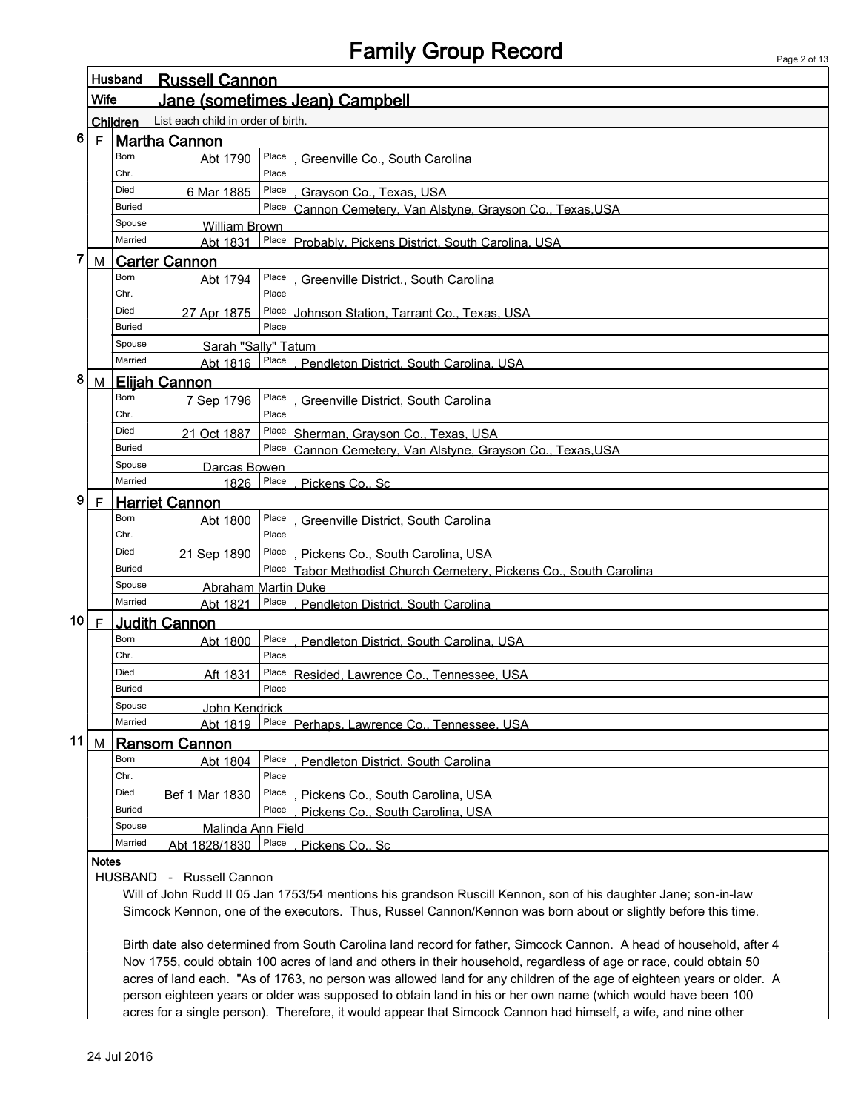## Family Group Record

|        |                                                                                                                | Husband<br><b>Russell Cannon</b> |                            |                |                                                                    |
|--------|----------------------------------------------------------------------------------------------------------------|----------------------------------|----------------------------|----------------|--------------------------------------------------------------------|
|        | Wife                                                                                                           | Jane (sometimes Jean) Campbell   |                            |                |                                                                    |
|        | List each child in order of birth.<br>Children                                                                 |                                  |                            |                |                                                                    |
| 6      |                                                                                                                |                                  | F Martha Cannon            |                |                                                                    |
|        |                                                                                                                | Born                             | Abt 1790                   | Place          | Greenville Co., South Carolina                                     |
|        |                                                                                                                | Chr.                             |                            | Place          |                                                                    |
|        |                                                                                                                | Died                             | 6 Mar 1885                 | Place          | Grayson Co., Texas, USA                                            |
|        |                                                                                                                | <b>Buried</b>                    |                            |                | Place Cannon Cemetery, Van Alstyne, Grayson Co., Texas, USA        |
|        |                                                                                                                | Spouse                           | <b>William Brown</b>       |                |                                                                    |
|        |                                                                                                                | Married                          |                            |                | Abt 1831 Place Probably. Pickens District. South Carolina. USA     |
| 7      | M                                                                                                              |                                  | <b>Carter Cannon</b>       |                |                                                                    |
|        |                                                                                                                | Born                             | Abt 1794                   | Place          | , Greenville District., South Carolina                             |
|        |                                                                                                                | Chr.                             |                            | Place          |                                                                    |
|        |                                                                                                                | Died                             | 27 Apr 1875                | Place          | Johnson Station, Tarrant Co., Texas, USA                           |
|        |                                                                                                                | <b>Buried</b>                    |                            | Place          |                                                                    |
|        |                                                                                                                | Spouse                           | Sarah "Sally" Tatum        |                |                                                                    |
|        |                                                                                                                | Married                          | Abt 1816 Place             |                | Pendleton District, South Carolina, USA                            |
| 8      | M                                                                                                              |                                  | <b>Elijah Cannon</b>       |                |                                                                    |
|        |                                                                                                                | Born                             | 7 Sep 1796                 | Place          | <b>Greenville District, South Carolina</b>                         |
|        |                                                                                                                | Chr.                             |                            | Place          |                                                                    |
|        |                                                                                                                | Died                             | 21 Oct 1887                |                | Place Sherman, Grayson Co., Texas, USA                             |
|        |                                                                                                                | Buried                           |                            |                | Place Cannon Cemetery, Van Alstyne, Grayson Co., Texas, USA        |
|        |                                                                                                                | Spouse                           | Darcas Bowen               |                |                                                                    |
|        |                                                                                                                | Married                          | 1826                       | Place          | Pickens Co., Sc                                                    |
| 9      | $\mathsf{F}$                                                                                                   | <b>Harriet Cannon</b>            |                            |                |                                                                    |
|        |                                                                                                                | Born                             | Abt 1800                   | Place          | . Greenville District. South Carolina                              |
|        |                                                                                                                | Chr.                             |                            | Place          |                                                                    |
|        |                                                                                                                | Died                             | 21 Sep 1890                |                | Place Pickens Co., South Carolina, USA                             |
|        |                                                                                                                | <b>Buried</b>                    |                            |                | Place Tabor Methodist Church Cemetery, Pickens Co., South Carolina |
|        |                                                                                                                | Spouse<br>Married                | <b>Abraham Martin Duke</b> |                |                                                                    |
|        |                                                                                                                |                                  |                            |                | Abt 1821 Place Pendleton District. South Carolina                  |
| 10 $F$ |                                                                                                                |                                  | <b>Judith Cannon</b>       |                |                                                                    |
|        |                                                                                                                | Born<br>Chr.                     | Abt 1800                   | Place<br>Place | , Pendleton District, South Carolina, USA                          |
|        |                                                                                                                | Died                             |                            | Place          |                                                                    |
|        |                                                                                                                | <b>Buried</b>                    | Aft 1831                   | Place          | Resided, Lawrence Co., Tennessee, USA                              |
|        |                                                                                                                | Spouse                           | John Kendrick              |                |                                                                    |
|        |                                                                                                                | Married                          | Abt 1819                   |                | Place Perhaps. Lawrence Co., Tennessee. USA                        |
| 11     | M                                                                                                              |                                  | <b>Ransom Cannon</b>       |                |                                                                    |
|        |                                                                                                                | Born                             |                            | Place          |                                                                    |
|        |                                                                                                                | Chr.                             | Abt 1804                   | Place          | Pendleton District, South Carolina                                 |
|        |                                                                                                                | Died                             | Bef 1 Mar 1830             | Place          | Pickens Co., South Carolina, USA                                   |
|        |                                                                                                                | <b>Buried</b>                    |                            | Place          | Pickens Co., South Carolina, USA                                   |
|        |                                                                                                                | Spouse                           | Malinda Ann Field          |                |                                                                    |
|        |                                                                                                                | Married                          | Abt 1828/1830              | Place          | Pickens Co., Sc                                                    |
|        | <b>Notes</b>                                                                                                   |                                  |                            |                |                                                                    |
|        |                                                                                                                | <b>HUSBAND</b>                   | - Russell Cannon           |                |                                                                    |
|        | Will of John Rudd II 05 Jan 1753/54 mentions his grandson Ruscill Kennon, son of his daughter Jane; son-in-law |                                  |                            |                |                                                                    |
|        | Simcock Kennon, one of the executors. Thus, Russel Cannon/Kennon was born about or slightly before this time.  |                                  |                            |                |                                                                    |

Birth date also determined from South Carolina land record for father, Simcock Cannon. A head of household, after 4 Nov 1755, could obtain 100 acres of land and others in their household, regardless of age or race, could obtain 50 acres of land each. "As of 1763, no person was allowed land for any children of the age of eighteen years or older. A person eighteen years or older was supposed to obtain land in his or her own name (which would have been 100 acres for a single person). Therefore, it would appear that Simcock Cannon had himself, a wife, and nine other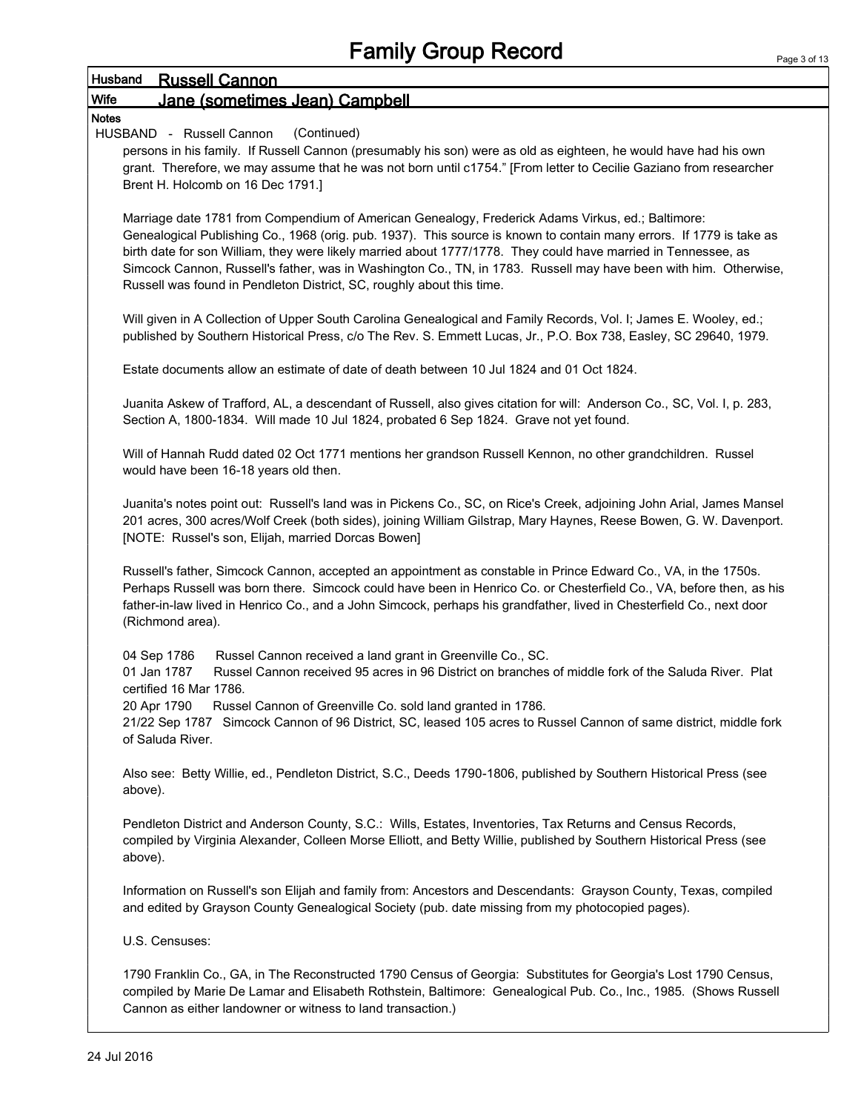|                  | i anniy Olvup Roculu                                                                                                    | Page 3 |
|------------------|-------------------------------------------------------------------------------------------------------------------------|--------|
| Husband          | <b>Russell Cannon</b>                                                                                                   |        |
| Wife             | Jane (sometimes Jean) Campbell                                                                                          |        |
| <b>Notes</b>     |                                                                                                                         |        |
|                  | (Continued)<br>HUSBAND - Russell Cannon                                                                                 |        |
|                  | persons in his family. If Russell Cannon (presumably his son) were as old as eighteen, he would have had his own        |        |
|                  | grant. Therefore, we may assume that he was not born until c1754." [From letter to Cecilie Gaziano from researcher      |        |
|                  | Brent H. Holcomb on 16 Dec 1791.]                                                                                       |        |
|                  | Marriage date 1781 from Compendium of American Genealogy, Frederick Adams Virkus, ed.; Baltimore:                       |        |
|                  | Genealogical Publishing Co., 1968 (orig. pub. 1937). This source is known to contain many errors. If 1779 is take as    |        |
|                  | birth date for son William, they were likely married about 1777/1778. They could have married in Tennessee, as          |        |
|                  | Simcock Cannon, Russell's father, was in Washington Co., TN, in 1783. Russell may have been with him. Otherwise,        |        |
|                  | Russell was found in Pendleton District, SC, roughly about this time.                                                   |        |
|                  |                                                                                                                         |        |
|                  | Will given in A Collection of Upper South Carolina Genealogical and Family Records, Vol. I; James E. Wooley, ed.;       |        |
|                  | published by Southern Historical Press, c/o The Rev. S. Emmett Lucas, Jr., P.O. Box 738, Easley, SC 29640, 1979.        |        |
|                  |                                                                                                                         |        |
|                  | Estate documents allow an estimate of date of death between 10 Jul 1824 and 01 Oct 1824.                                |        |
|                  |                                                                                                                         |        |
|                  | Juanita Askew of Trafford, AL, a descendant of Russell, also gives citation for will: Anderson Co., SC, Vol. I, p. 283, |        |
|                  | Section A, 1800-1834. Will made 10 Jul 1824, probated 6 Sep 1824. Grave not yet found.                                  |        |
|                  | Will of Hannah Rudd dated 02 Oct 1771 mentions her grandson Russell Kennon, no other grandchildren. Russel              |        |
|                  | would have been 16-18 years old then.                                                                                   |        |
|                  |                                                                                                                         |        |
|                  | Juanita's notes point out: Russell's land was in Pickens Co., SC, on Rice's Creek, adjoining John Arial, James Mansel   |        |
|                  | 201 acres, 300 acres/Wolf Creek (both sides), joining William Gilstrap, Mary Haynes, Reese Bowen, G. W. Davenport.      |        |
|                  | [NOTE: Russel's son, Elijah, married Dorcas Bowen]                                                                      |        |
|                  |                                                                                                                         |        |
|                  | Russell's father, Simcock Cannon, accepted an appointment as constable in Prince Edward Co., VA, in the 1750s.          |        |
|                  | Perhaps Russell was born there. Simcock could have been in Henrico Co. or Chesterfield Co., VA, before then, as his     |        |
|                  | father-in-law lived in Henrico Co., and a John Simcock, perhaps his grandfather, lived in Chesterfield Co., next door   |        |
| (Richmond area). |                                                                                                                         |        |
|                  |                                                                                                                         |        |
| 04 Sep 1786      | Russel Cannon received a land grant in Greenville Co., SC.                                                              |        |
| 01 Jan 1787      | Russel Cannon received 95 acres in 96 District on branches of middle fork of the Saluda River. Plat                     |        |
|                  | certified 16 Mar 1786.                                                                                                  |        |
| 20 Apr 1790      | Russel Cannon of Greenville Co. sold land granted in 1786.                                                              |        |
| of Saluda River. | 21/22 Sep 1787 Simcock Cannon of 96 District, SC, leased 105 acres to Russel Cannon of same district, middle fork       |        |
|                  |                                                                                                                         |        |
|                  | Also see: Betty Willie, ed., Pendleton District, S.C., Deeds 1790-1806, published by Southern Historical Press (see     |        |
| above).          |                                                                                                                         |        |
|                  |                                                                                                                         |        |
|                  | Pendleton District and Anderson County, S.C.: Wills, Estates, Inventories, Tax Returns and Census Records,              |        |
|                  | compiled by Virginia Alexander, Colleen Morse Elliott, and Betty Willie, published by Southern Historical Press (see    |        |
| above).          |                                                                                                                         |        |
|                  |                                                                                                                         |        |
|                  | Information on Russell's son Elijah and family from: Ancestors and Descendants: Grayson County, Texas, compiled         |        |
|                  | and edited by Grayson County Genealogical Society (pub. date missing from my photocopied pages).                        |        |
|                  |                                                                                                                         |        |
| U.S. Censuses:   |                                                                                                                         |        |
|                  | 1790 Franklin Co., GA, in The Reconstructed 1790 Census of Georgia: Substitutes for Georgia's Lost 1790 Census,         |        |
|                  | compiled by Marie De Lamar and Elisabeth Rothstein, Baltimore: Genealogical Pub. Co., Inc., 1985. (Shows Russell        |        |
|                  | Cannon as either landowner or witness to land transaction.)                                                             |        |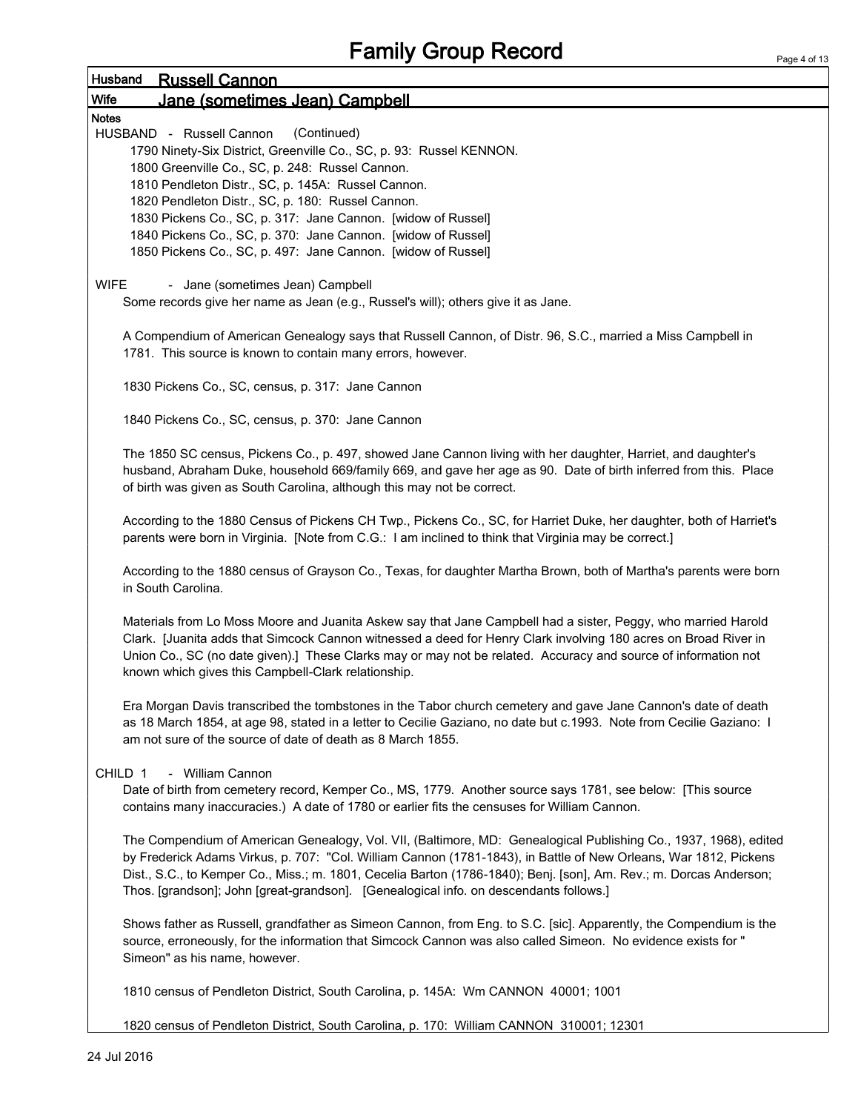| Page 4 of 13 |  |  |
|--------------|--|--|

| Husband<br><b>Russell Cannon</b>                                                                                                                                                                                                                                                                                                                                                                                                                    |
|-----------------------------------------------------------------------------------------------------------------------------------------------------------------------------------------------------------------------------------------------------------------------------------------------------------------------------------------------------------------------------------------------------------------------------------------------------|
| <b>Wife</b><br>Jane (sometimes Jean) Campbell                                                                                                                                                                                                                                                                                                                                                                                                       |
| <b>Notes</b>                                                                                                                                                                                                                                                                                                                                                                                                                                        |
| (Continued)<br>HUSBAND - Russell Cannon<br>1790 Ninety-Six District, Greenville Co., SC, p. 93: Russel KENNON.<br>1800 Greenville Co., SC, p. 248: Russel Cannon.<br>1810 Pendleton Distr., SC, p. 145A: Russel Cannon.<br>1820 Pendleton Distr., SC, p. 180: Russel Cannon.<br>1830 Pickens Co., SC, p. 317: Jane Cannon. [widow of Russel]<br>1840 Pickens Co., SC, p. 370: Jane Cannon. [widow of Russel]                                        |
| 1850 Pickens Co., SC, p. 497: Jane Cannon. [widow of Russel]                                                                                                                                                                                                                                                                                                                                                                                        |
| <b>WIFE</b><br>- Jane (sometimes Jean) Campbell<br>Some records give her name as Jean (e.g., Russel's will); others give it as Jane.                                                                                                                                                                                                                                                                                                                |
| A Compendium of American Genealogy says that Russell Cannon, of Distr. 96, S.C., married a Miss Campbell in<br>1781. This source is known to contain many errors, however.                                                                                                                                                                                                                                                                          |
| 1830 Pickens Co., SC, census, p. 317: Jane Cannon                                                                                                                                                                                                                                                                                                                                                                                                   |
| 1840 Pickens Co., SC, census, p. 370: Jane Cannon                                                                                                                                                                                                                                                                                                                                                                                                   |
| The 1850 SC census, Pickens Co., p. 497, showed Jane Cannon living with her daughter, Harriet, and daughter's<br>husband, Abraham Duke, household 669/family 669, and gave her age as 90. Date of birth inferred from this. Place<br>of birth was given as South Carolina, although this may not be correct.                                                                                                                                        |
| According to the 1880 Census of Pickens CH Twp., Pickens Co., SC, for Harriet Duke, her daughter, both of Harriet's<br>parents were born in Virginia. [Note from C.G.: I am inclined to think that Virginia may be correct.]                                                                                                                                                                                                                        |
| According to the 1880 census of Grayson Co., Texas, for daughter Martha Brown, both of Martha's parents were born<br>in South Carolina.                                                                                                                                                                                                                                                                                                             |
| Materials from Lo Moss Moore and Juanita Askew say that Jane Campbell had a sister, Peggy, who married Harold<br>Clark. [Juanita adds that Simcock Cannon witnessed a deed for Henry Clark involving 180 acres on Broad River in<br>Union Co., SC (no date given).] These Clarks may or may not be related. Accuracy and source of information not<br>known which gives this Campbell-Clark relationship.                                           |
| Era Morgan Davis transcribed the tombstones in the Tabor church cemetery and gave Jane Cannon's date of death<br>as 18 March 1854, at age 98, stated in a letter to Cecilie Gaziano, no date but c.1993. Note from Cecilie Gaziano: I<br>am not sure of the source of date of death as 8 March 1855.                                                                                                                                                |
| CHILD 1<br>- William Cannon                                                                                                                                                                                                                                                                                                                                                                                                                         |
| Date of birth from cemetery record, Kemper Co., MS, 1779. Another source says 1781, see below: [This source<br>contains many inaccuracies.) A date of 1780 or earlier fits the censuses for William Cannon.                                                                                                                                                                                                                                         |
| The Compendium of American Genealogy, Vol. VII, (Baltimore, MD: Genealogical Publishing Co., 1937, 1968), edited<br>by Frederick Adams Virkus, p. 707: "Col. William Cannon (1781-1843), in Battle of New Orleans, War 1812, Pickens<br>Dist., S.C., to Kemper Co., Miss.; m. 1801, Cecelia Barton (1786-1840); Benj. [son], Am. Rev.; m. Dorcas Anderson;<br>Thos. [grandson]; John [great-grandson]. [Genealogical info. on descendants follows.] |
| Shows father as Russell, grandfather as Simeon Cannon, from Eng. to S.C. [sic]. Apparently, the Compendium is the<br>source, erroneously, for the information that Simcock Cannon was also called Simeon. No evidence exists for "<br>Simeon" as his name, however.                                                                                                                                                                                 |
| 1810 census of Pendleton District, South Carolina, p. 145A: Wm CANNON 40001; 1001                                                                                                                                                                                                                                                                                                                                                                   |

1820 census of Pendleton District, South Carolina, p. 170: William CANNON 310001; 12301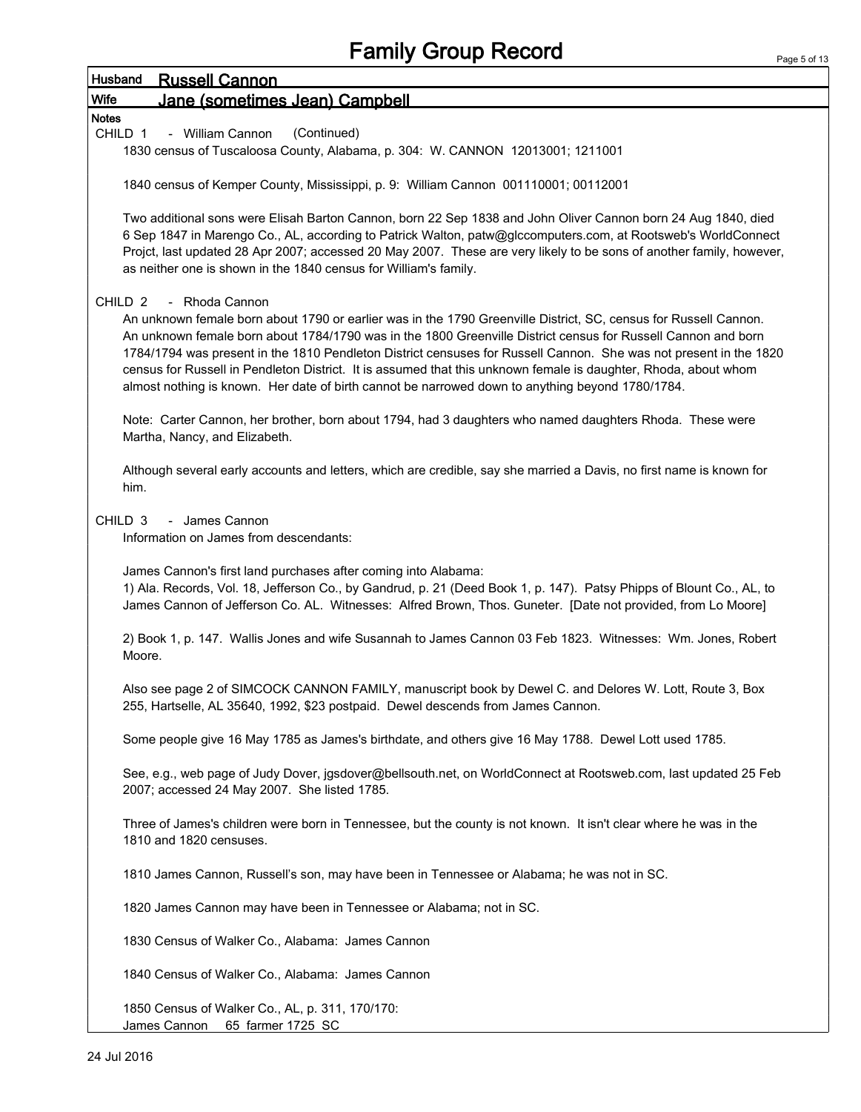| i aye Juli<br>Husband<br><b>Russell Cannon</b>                                                                                                                                                                                                                                                                                                                                                                                                                                                                                                                                                                        |  |
|-----------------------------------------------------------------------------------------------------------------------------------------------------------------------------------------------------------------------------------------------------------------------------------------------------------------------------------------------------------------------------------------------------------------------------------------------------------------------------------------------------------------------------------------------------------------------------------------------------------------------|--|
| Wife<br>Jane (sometimes Jean) Campbell                                                                                                                                                                                                                                                                                                                                                                                                                                                                                                                                                                                |  |
| <b>Notes</b>                                                                                                                                                                                                                                                                                                                                                                                                                                                                                                                                                                                                          |  |
| (Continued)<br>CHILD 1<br>- William Cannon<br>1830 census of Tuscaloosa County, Alabama, p. 304: W. CANNON 12013001; 1211001                                                                                                                                                                                                                                                                                                                                                                                                                                                                                          |  |
| 1840 census of Kemper County, Mississippi, p. 9: William Cannon 001110001; 00112001                                                                                                                                                                                                                                                                                                                                                                                                                                                                                                                                   |  |
| Two additional sons were Elisah Barton Cannon, born 22 Sep 1838 and John Oliver Cannon born 24 Aug 1840, died<br>6 Sep 1847 in Marengo Co., AL, according to Patrick Walton, patw@glccomputers.com, at Rootsweb's WorldConnect<br>Projct, last updated 28 Apr 2007; accessed 20 May 2007. These are very likely to be sons of another family, however,<br>as neither one is shown in the 1840 census for William's family.                                                                                                                                                                                            |  |
| CHILD <sub>2</sub><br>- Rhoda Cannon<br>An unknown female born about 1790 or earlier was in the 1790 Greenville District, SC, census for Russell Cannon.<br>An unknown female born about 1784/1790 was in the 1800 Greenville District census for Russell Cannon and born<br>1784/1794 was present in the 1810 Pendleton District censuses for Russell Cannon. She was not present in the 1820<br>census for Russell in Pendleton District. It is assumed that this unknown female is daughter, Rhoda, about whom<br>almost nothing is known. Her date of birth cannot be narrowed down to anything beyond 1780/1784. |  |
| Note: Carter Cannon, her brother, born about 1794, had 3 daughters who named daughters Rhoda. These were<br>Martha, Nancy, and Elizabeth.                                                                                                                                                                                                                                                                                                                                                                                                                                                                             |  |
| Although several early accounts and letters, which are credible, say she married a Davis, no first name is known for<br>him.                                                                                                                                                                                                                                                                                                                                                                                                                                                                                          |  |
| CHILD <sub>3</sub><br>- James Cannon<br>Information on James from descendants:                                                                                                                                                                                                                                                                                                                                                                                                                                                                                                                                        |  |
| James Cannon's first land purchases after coming into Alabama:<br>1) Ala. Records, Vol. 18, Jefferson Co., by Gandrud, p. 21 (Deed Book 1, p. 147). Patsy Phipps of Blount Co., AL, to<br>James Cannon of Jefferson Co. AL. Witnesses: Alfred Brown, Thos. Guneter. [Date not provided, from Lo Moore]                                                                                                                                                                                                                                                                                                                |  |
| 2) Book 1, p. 147. Wallis Jones and wife Susannah to James Cannon 03 Feb 1823. Witnesses: Wm. Jones, Robert<br>Moore.                                                                                                                                                                                                                                                                                                                                                                                                                                                                                                 |  |
| Also see page 2 of SIMCOCK CANNON FAMILY, manuscript book by Dewel C. and Delores W. Lott, Route 3, Box<br>255, Hartselle, AL 35640, 1992, \$23 postpaid. Dewel descends from James Cannon.                                                                                                                                                                                                                                                                                                                                                                                                                           |  |
| Some people give 16 May 1785 as James's birthdate, and others give 16 May 1788. Dewel Lott used 1785.                                                                                                                                                                                                                                                                                                                                                                                                                                                                                                                 |  |
| See, e.g., web page of Judy Dover, jgsdover@bellsouth.net, on WorldConnect at Rootsweb.com, last updated 25 Feb<br>2007; accessed 24 May 2007. She listed 1785.                                                                                                                                                                                                                                                                                                                                                                                                                                                       |  |
| Three of James's children were born in Tennessee, but the county is not known. It isn't clear where he was in the<br>1810 and 1820 censuses.                                                                                                                                                                                                                                                                                                                                                                                                                                                                          |  |
| 1810 James Cannon, Russell's son, may have been in Tennessee or Alabama; he was not in SC.                                                                                                                                                                                                                                                                                                                                                                                                                                                                                                                            |  |
| 1820 James Cannon may have been in Tennessee or Alabama; not in SC.                                                                                                                                                                                                                                                                                                                                                                                                                                                                                                                                                   |  |
| 1830 Census of Walker Co., Alabama: James Cannon                                                                                                                                                                                                                                                                                                                                                                                                                                                                                                                                                                      |  |
| 1840 Census of Walker Co., Alabama: James Cannon                                                                                                                                                                                                                                                                                                                                                                                                                                                                                                                                                                      |  |
| 1850 Census of Walker Co., AL, p. 311, 170/170:                                                                                                                                                                                                                                                                                                                                                                                                                                                                                                                                                                       |  |

James Cannon 65 farmer 1725 SC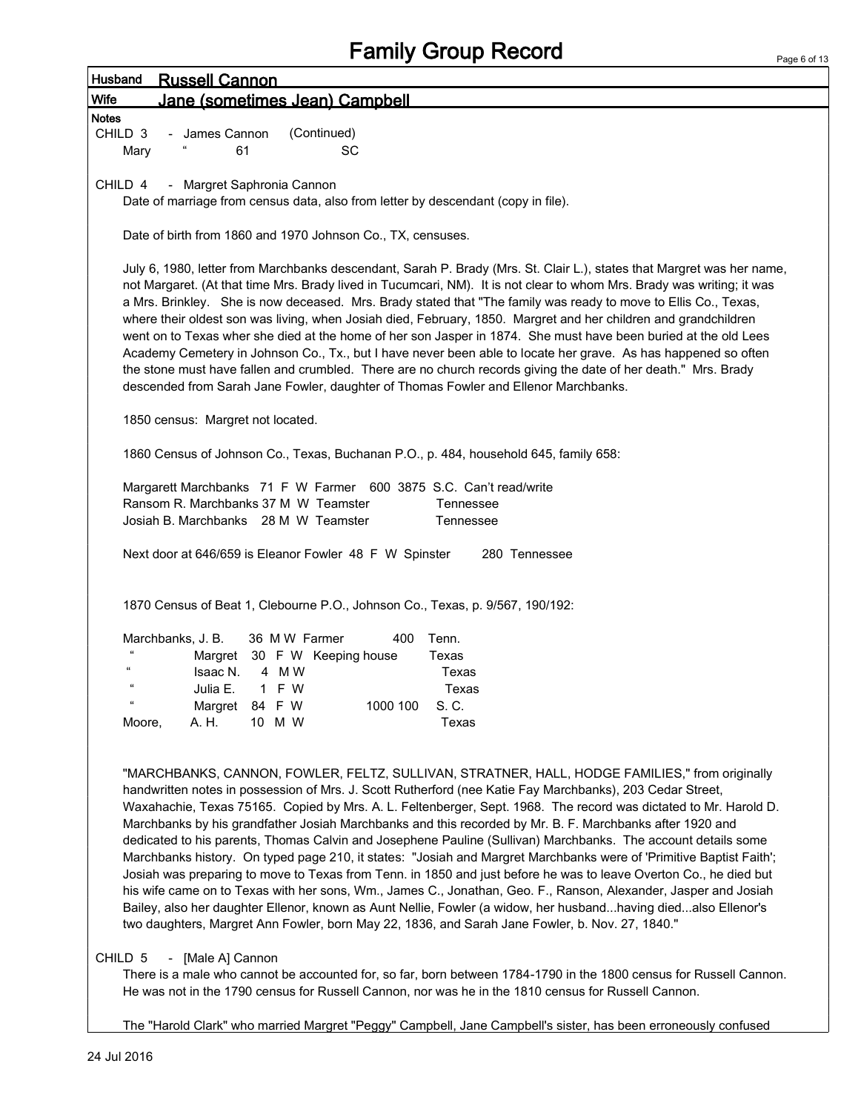|                    | <b>I alliny Sivup Reculu</b>                                                                                                                                                                                                                                                                                                                                                                                                                                                                                                                                                                                                                                                                                                                                                                                                                                                                                                                                                                                                                                                                                                                     | Page 6 of 1 |
|--------------------|--------------------------------------------------------------------------------------------------------------------------------------------------------------------------------------------------------------------------------------------------------------------------------------------------------------------------------------------------------------------------------------------------------------------------------------------------------------------------------------------------------------------------------------------------------------------------------------------------------------------------------------------------------------------------------------------------------------------------------------------------------------------------------------------------------------------------------------------------------------------------------------------------------------------------------------------------------------------------------------------------------------------------------------------------------------------------------------------------------------------------------------------------|-------------|
| Husband            | <b>Russell Cannon</b>                                                                                                                                                                                                                                                                                                                                                                                                                                                                                                                                                                                                                                                                                                                                                                                                                                                                                                                                                                                                                                                                                                                            |             |
| Wife               | Jane (sometimes Jean) Campbell                                                                                                                                                                                                                                                                                                                                                                                                                                                                                                                                                                                                                                                                                                                                                                                                                                                                                                                                                                                                                                                                                                                   |             |
| <b>Notes</b>       |                                                                                                                                                                                                                                                                                                                                                                                                                                                                                                                                                                                                                                                                                                                                                                                                                                                                                                                                                                                                                                                                                                                                                  |             |
| CHILD <sub>3</sub> | (Continued)<br>- James Cannon                                                                                                                                                                                                                                                                                                                                                                                                                                                                                                                                                                                                                                                                                                                                                                                                                                                                                                                                                                                                                                                                                                                    |             |
| Mary               | 61<br>SC                                                                                                                                                                                                                                                                                                                                                                                                                                                                                                                                                                                                                                                                                                                                                                                                                                                                                                                                                                                                                                                                                                                                         |             |
| CHILD 4            | - Margret Saphronia Cannon                                                                                                                                                                                                                                                                                                                                                                                                                                                                                                                                                                                                                                                                                                                                                                                                                                                                                                                                                                                                                                                                                                                       |             |
|                    | Date of marriage from census data, also from letter by descendant (copy in file).                                                                                                                                                                                                                                                                                                                                                                                                                                                                                                                                                                                                                                                                                                                                                                                                                                                                                                                                                                                                                                                                |             |
|                    |                                                                                                                                                                                                                                                                                                                                                                                                                                                                                                                                                                                                                                                                                                                                                                                                                                                                                                                                                                                                                                                                                                                                                  |             |
|                    | Date of birth from 1860 and 1970 Johnson Co., TX, censuses.                                                                                                                                                                                                                                                                                                                                                                                                                                                                                                                                                                                                                                                                                                                                                                                                                                                                                                                                                                                                                                                                                      |             |
|                    | July 6, 1980, letter from Marchbanks descendant, Sarah P. Brady (Mrs. St. Clair L.), states that Margret was her name,<br>not Margaret. (At that time Mrs. Brady lived in Tucumcari, NM). It is not clear to whom Mrs. Brady was writing; it was<br>a Mrs. Brinkley. She is now deceased. Mrs. Brady stated that "The family was ready to move to Ellis Co., Texas,<br>where their oldest son was living, when Josiah died, February, 1850. Margret and her children and grandchildren<br>went on to Texas wher she died at the home of her son Jasper in 1874. She must have been buried at the old Lees<br>Academy Cemetery in Johnson Co., Tx., but I have never been able to locate her grave. As has happened so often<br>the stone must have fallen and crumbled. There are no church records giving the date of her death." Mrs. Brady<br>descended from Sarah Jane Fowler, daughter of Thomas Fowler and Ellenor Marchbanks.                                                                                                                                                                                                             |             |
|                    | 1850 census: Margret not located.                                                                                                                                                                                                                                                                                                                                                                                                                                                                                                                                                                                                                                                                                                                                                                                                                                                                                                                                                                                                                                                                                                                |             |
|                    | 1860 Census of Johnson Co., Texas, Buchanan P.O., p. 484, household 645, family 658:                                                                                                                                                                                                                                                                                                                                                                                                                                                                                                                                                                                                                                                                                                                                                                                                                                                                                                                                                                                                                                                             |             |
|                    |                                                                                                                                                                                                                                                                                                                                                                                                                                                                                                                                                                                                                                                                                                                                                                                                                                                                                                                                                                                                                                                                                                                                                  |             |
|                    | Margarett Marchbanks 71 F W Farmer 600 3875 S.C. Can't read/write                                                                                                                                                                                                                                                                                                                                                                                                                                                                                                                                                                                                                                                                                                                                                                                                                                                                                                                                                                                                                                                                                |             |
|                    | Ransom R. Marchbanks 37 M W Teamster<br>Tennessee                                                                                                                                                                                                                                                                                                                                                                                                                                                                                                                                                                                                                                                                                                                                                                                                                                                                                                                                                                                                                                                                                                |             |
|                    | Josiah B. Marchbanks 28 M W Teamster<br>Tennessee                                                                                                                                                                                                                                                                                                                                                                                                                                                                                                                                                                                                                                                                                                                                                                                                                                                                                                                                                                                                                                                                                                |             |
|                    | Next door at 646/659 is Eleanor Fowler 48 F W Spinster<br>280 Tennessee                                                                                                                                                                                                                                                                                                                                                                                                                                                                                                                                                                                                                                                                                                                                                                                                                                                                                                                                                                                                                                                                          |             |
|                    |                                                                                                                                                                                                                                                                                                                                                                                                                                                                                                                                                                                                                                                                                                                                                                                                                                                                                                                                                                                                                                                                                                                                                  |             |
|                    |                                                                                                                                                                                                                                                                                                                                                                                                                                                                                                                                                                                                                                                                                                                                                                                                                                                                                                                                                                                                                                                                                                                                                  |             |
|                    | 1870 Census of Beat 1, Clebourne P.O., Johnson Co., Texas, p. 9/567, 190/192:                                                                                                                                                                                                                                                                                                                                                                                                                                                                                                                                                                                                                                                                                                                                                                                                                                                                                                                                                                                                                                                                    |             |
|                    | Tenn.<br>Marchbanks, J. B.<br>36 M W Farmer<br>400                                                                                                                                                                                                                                                                                                                                                                                                                                                                                                                                                                                                                                                                                                                                                                                                                                                                                                                                                                                                                                                                                               |             |
|                    | Margret 30 F W Keeping house<br>Texas                                                                                                                                                                                                                                                                                                                                                                                                                                                                                                                                                                                                                                                                                                                                                                                                                                                                                                                                                                                                                                                                                                            |             |
|                    | Isaac N.<br>4 M W<br>Texas                                                                                                                                                                                                                                                                                                                                                                                                                                                                                                                                                                                                                                                                                                                                                                                                                                                                                                                                                                                                                                                                                                                       |             |
|                    | Julia E.<br>1 F W<br>Texas                                                                                                                                                                                                                                                                                                                                                                                                                                                                                                                                                                                                                                                                                                                                                                                                                                                                                                                                                                                                                                                                                                                       |             |
| $\epsilon$         | 1000 100<br>S. C.<br>Margret 84 F W                                                                                                                                                                                                                                                                                                                                                                                                                                                                                                                                                                                                                                                                                                                                                                                                                                                                                                                                                                                                                                                                                                              |             |
| Moore,             | A. H.<br>10 M W<br>Texas                                                                                                                                                                                                                                                                                                                                                                                                                                                                                                                                                                                                                                                                                                                                                                                                                                                                                                                                                                                                                                                                                                                         |             |
|                    | "MARCHBANKS, CANNON, FOWLER, FELTZ, SULLIVAN, STRATNER, HALL, HODGE FAMILIES," from originally<br>handwritten notes in possession of Mrs. J. Scott Rutherford (nee Katie Fay Marchbanks), 203 Cedar Street,<br>Waxahachie, Texas 75165. Copied by Mrs. A. L. Feltenberger, Sept. 1968. The record was dictated to Mr. Harold D.<br>Marchbanks by his grandfather Josiah Marchbanks and this recorded by Mr. B. F. Marchbanks after 1920 and<br>dedicated to his parents, Thomas Calvin and Josephene Pauline (Sullivan) Marchbanks. The account details some<br>Marchbanks history. On typed page 210, it states: "Josiah and Margret Marchbanks were of 'Primitive Baptist Faith';<br>Josiah was preparing to move to Texas from Tenn. in 1850 and just before he was to leave Overton Co., he died but<br>his wife came on to Texas with her sons, Wm., James C., Jonathan, Geo. F., Ranson, Alexander, Jasper and Josiah<br>Bailey, also her daughter Ellenor, known as Aunt Nellie, Fowler (a widow, her husbandhaving diedalso Ellenor's<br>two daughters, Margret Ann Fowler, born May 22, 1836, and Sarah Jane Fowler, b. Nov. 27, 1840." |             |

CHILD 5 - [Male A] Cannon

There is a male who cannot be accounted for, so far, born between 1784-1790 in the 1800 census for Russell Cannon. He was not in the 1790 census for Russell Cannon, nor was he in the 1810 census for Russell Cannon.

The "Harold Clark" who married Margret "Peggy" Campbell, Jane Campbell's sister, has been erroneously confused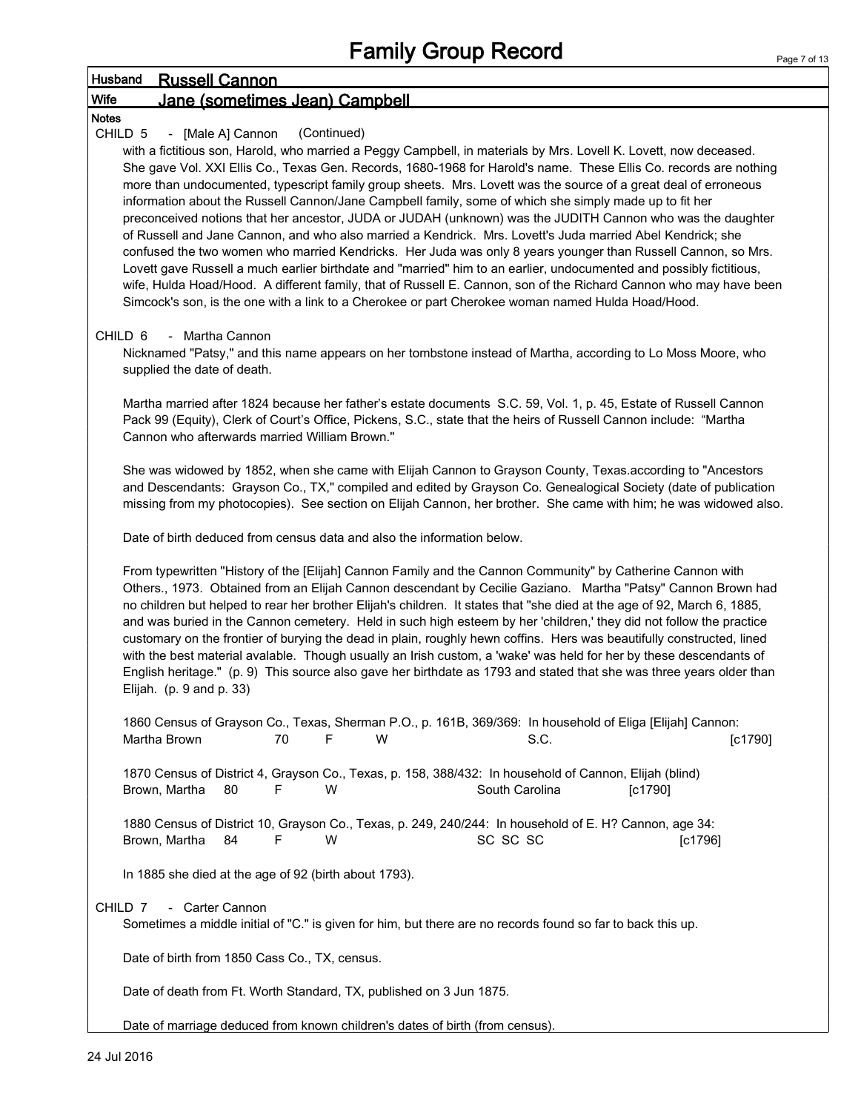### Husband Russell Cannon Wife Jane (sometimes Jean) Campbell **Notes** CHILD 5 - [Male A] Cannon (Continued) with a fictitious son, Harold, who married a Peggy Campbell, in materials by Mrs. Lovell K. Lovett, now deceased. She gave Vol. XXI Ellis Co., Texas Gen. Records, 1680-1968 for Harold's name. These Ellis Co. records are nothing more than undocumented, typescript family group sheets. Mrs. Lovett was the source of a great deal of erroneous information about the Russell Cannon/Jane Campbell family, some of which she simply made up to fit her preconceived notions that her ancestor, JUDA or JUDAH (unknown) was the JUDITH Cannon who was the daughter of Russell and Jane Cannon, and who also married a Kendrick. Mrs. Lovett's Juda married Abel Kendrick; she confused the two women who married Kendricks. Her Juda was only 8 years younger than Russell Cannon, so Mrs. Lovett gave Russell a much earlier birthdate and "married" him to an earlier, undocumented and possibly fictitious, wife, Hulda Hoad/Hood. A different family, that of Russell E. Cannon, son of the Richard Cannon who may have been Simcock's son, is the one with a link to a Cherokee or part Cherokee woman named Hulda Hoad/Hood. CHILD 6 - Martha Cannon Nicknamed "Patsy," and this name appears on her tombstone instead of Martha, according to Lo Moss Moore, who supplied the date of death. Martha married after 1824 because her father's estate documents S.C. 59, Vol. 1, p. 45, Estate of Russell Cannon Pack 99 (Equity), Clerk of Court's Office, Pickens, S.C., state that the heirs of Russell Cannon include: "Martha Cannon who afterwards married William Brown." She was widowed by 1852, when she came with Elijah Cannon to Grayson County, Texas.according to "Ancestors and Descendants: Grayson Co., TX," compiled and edited by Grayson Co. Genealogical Society (date of publication missing from my photocopies). See section on Elijah Cannon, her brother. She came with him; he was widowed also. Date of birth deduced from census data and also the information below. From typewritten "History of the [Elijah] Cannon Family and the Cannon Community" by Catherine Cannon with Others., 1973. Obtained from an Elijah Cannon descendant by Cecilie Gaziano. Martha "Patsy" Cannon Brown had no children but helped to rear her brother Elijah's children. It states that "she died at the age of 92, March 6, 1885, and was buried in the Cannon cemetery. Held in such high esteem by her 'children,' they did not follow the practice customary on the frontier of burying the dead in plain, roughly hewn coffins. Hers was beautifully constructed, lined with the best material avalable. Though usually an Irish custom, a 'wake' was held for her by these descendants of English heritage." (p. 9) This source also gave her birthdate as 1793 and stated that she was three years older than Elijah. (p. 9 and p. 33) 1860 Census of Grayson Co., Texas, Sherman P.O., p. 161B, 369/369: In household of Eliga [Elijah] Cannon: Martha Brown **70** F W S.C. S.C. [c1790] 1870 Census of District 4, Grayson Co., Texas, p. 158, 388/432: In household of Cannon, Elijah (blind) Brown, Martha 80 F W South Carolina [c1790] 1880 Census of District 10, Grayson Co., Texas, p. 249, 240/244: In household of E. H? Cannon, age 34: Brown, Martha 84 F W SC SC SC SC SC [c1796] In 1885 she died at the age of 92 (birth about 1793). CHILD 7 - Carter Cannon Sometimes a middle initial of "C." is given for him, but there are no records found so far to back this up. Date of birth from 1850 Cass Co., TX, census. Date of death from Ft. Worth Standard, TX, published on 3 Jun 1875.

Date of marriage deduced from known children's dates of birth (from census).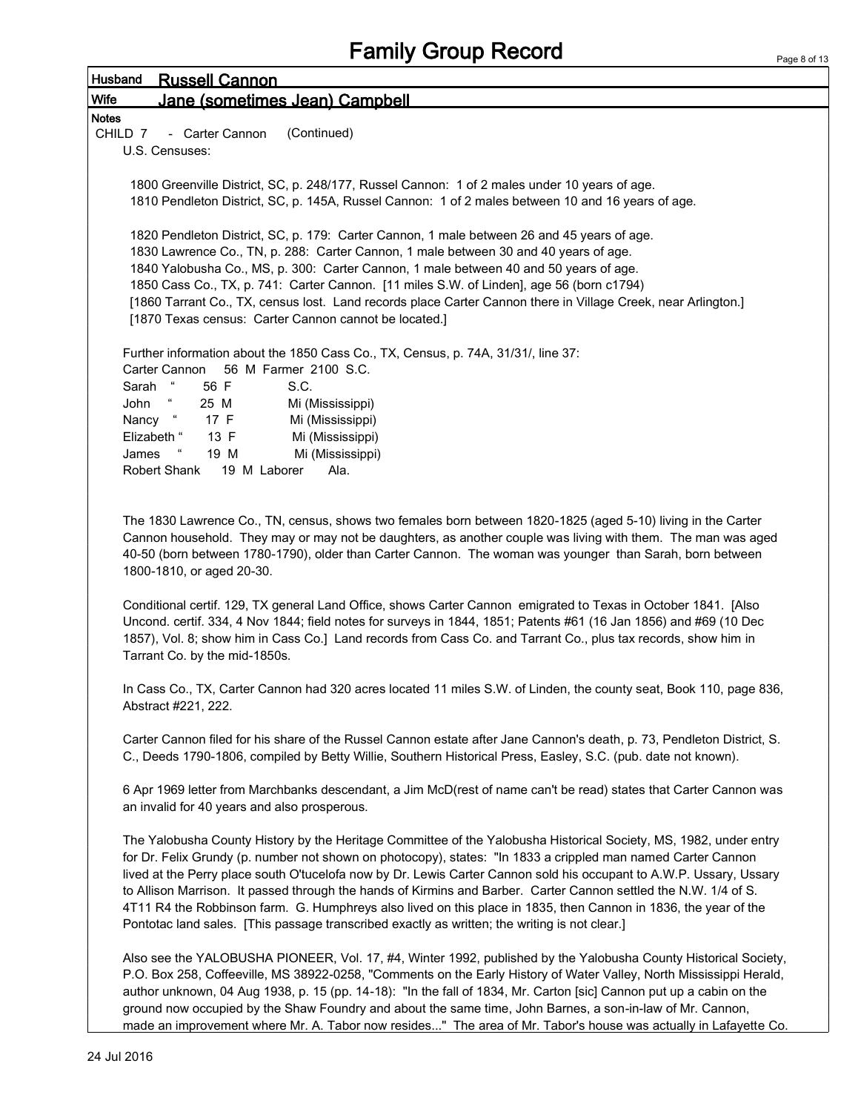| Page 8 of 13 |  |  |
|--------------|--|--|

| Husband<br><b>Russell Cannon</b>                                                                                                                                                                                                                                                                                                                                                                                                                                                                                                                                                                                                                                                                 |
|--------------------------------------------------------------------------------------------------------------------------------------------------------------------------------------------------------------------------------------------------------------------------------------------------------------------------------------------------------------------------------------------------------------------------------------------------------------------------------------------------------------------------------------------------------------------------------------------------------------------------------------------------------------------------------------------------|
| <b>Wife</b><br>Jane (sometimes Jean) Campbell                                                                                                                                                                                                                                                                                                                                                                                                                                                                                                                                                                                                                                                    |
| <b>Notes</b>                                                                                                                                                                                                                                                                                                                                                                                                                                                                                                                                                                                                                                                                                     |
| (Continued)<br>- Carter Cannon<br>CHILD 7                                                                                                                                                                                                                                                                                                                                                                                                                                                                                                                                                                                                                                                        |
| U.S. Censuses:                                                                                                                                                                                                                                                                                                                                                                                                                                                                                                                                                                                                                                                                                   |
|                                                                                                                                                                                                                                                                                                                                                                                                                                                                                                                                                                                                                                                                                                  |
| 1800 Greenville District, SC, p. 248/177, Russel Cannon: 1 of 2 males under 10 years of age.                                                                                                                                                                                                                                                                                                                                                                                                                                                                                                                                                                                                     |
| 1810 Pendleton District, SC, p. 145A, Russel Cannon: 1 of 2 males between 10 and 16 years of age.                                                                                                                                                                                                                                                                                                                                                                                                                                                                                                                                                                                                |
| 1820 Pendleton District, SC, p. 179: Carter Cannon, 1 male between 26 and 45 years of age.                                                                                                                                                                                                                                                                                                                                                                                                                                                                                                                                                                                                       |
| 1830 Lawrence Co., TN, p. 288: Carter Cannon, 1 male between 30 and 40 years of age.                                                                                                                                                                                                                                                                                                                                                                                                                                                                                                                                                                                                             |
| 1840 Yalobusha Co., MS, p. 300: Carter Cannon, 1 male between 40 and 50 years of age.                                                                                                                                                                                                                                                                                                                                                                                                                                                                                                                                                                                                            |
| 1850 Cass Co., TX, p. 741: Carter Cannon. [11 miles S.W. of Linden], age 56 (born c1794)                                                                                                                                                                                                                                                                                                                                                                                                                                                                                                                                                                                                         |
| [1860 Tarrant Co., TX, census lost. Land records place Carter Cannon there in Village Creek, near Arlington.]                                                                                                                                                                                                                                                                                                                                                                                                                                                                                                                                                                                    |
| [1870 Texas census: Carter Cannon cannot be located.]                                                                                                                                                                                                                                                                                                                                                                                                                                                                                                                                                                                                                                            |
|                                                                                                                                                                                                                                                                                                                                                                                                                                                                                                                                                                                                                                                                                                  |
| Further information about the 1850 Cass Co., TX, Census, p. 74A, 31/31/, line 37:                                                                                                                                                                                                                                                                                                                                                                                                                                                                                                                                                                                                                |
| 56 M Farmer 2100 S.C.<br>Carter Cannon                                                                                                                                                                                                                                                                                                                                                                                                                                                                                                                                                                                                                                                           |
| 56 F<br>S.C.<br>Sarah                                                                                                                                                                                                                                                                                                                                                                                                                                                                                                                                                                                                                                                                            |
| John<br>25 M<br>Mi (Mississippi)<br>Nancy "<br>17 F<br>Mi (Mississippi)                                                                                                                                                                                                                                                                                                                                                                                                                                                                                                                                                                                                                          |
| Elizabeth "<br>13 F<br>Mi (Mississippi)                                                                                                                                                                                                                                                                                                                                                                                                                                                                                                                                                                                                                                                          |
| James<br>19 M<br>Mi (Mississippi)                                                                                                                                                                                                                                                                                                                                                                                                                                                                                                                                                                                                                                                                |
| Robert Shank<br>19 M Laborer<br>Ala.                                                                                                                                                                                                                                                                                                                                                                                                                                                                                                                                                                                                                                                             |
|                                                                                                                                                                                                                                                                                                                                                                                                                                                                                                                                                                                                                                                                                                  |
| The 1830 Lawrence Co., TN, census, shows two females born between 1820-1825 (aged 5-10) living in the Carter<br>Cannon household. They may or may not be daughters, as another couple was living with them. The man was aged<br>40-50 (born between 1780-1790), older than Carter Cannon. The woman was younger than Sarah, born between<br>1800-1810, or aged 20-30.                                                                                                                                                                                                                                                                                                                            |
| Conditional certif. 129, TX general Land Office, shows Carter Cannon emigrated to Texas in October 1841. [Also<br>Uncond. certif. 334, 4 Nov 1844; field notes for surveys in 1844, 1851; Patents #61 (16 Jan 1856) and #69 (10 Dec<br>1857), Vol. 8; show him in Cass Co.] Land records from Cass Co. and Tarrant Co., plus tax records, show him in<br>Tarrant Co. by the mid-1850s.                                                                                                                                                                                                                                                                                                           |
| In Cass Co., TX, Carter Cannon had 320 acres located 11 miles S.W. of Linden, the county seat, Book 110, page 836,<br>Abstract #221, 222.                                                                                                                                                                                                                                                                                                                                                                                                                                                                                                                                                        |
| Carter Cannon filed for his share of the Russel Cannon estate after Jane Cannon's death, p. 73, Pendleton District, S.<br>C., Deeds 1790-1806, compiled by Betty Willie, Southern Historical Press, Easley, S.C. (pub. date not known).                                                                                                                                                                                                                                                                                                                                                                                                                                                          |
| 6 Apr 1969 letter from Marchbanks descendant, a Jim McD(rest of name can't be read) states that Carter Cannon was<br>an invalid for 40 years and also prosperous.                                                                                                                                                                                                                                                                                                                                                                                                                                                                                                                                |
| The Yalobusha County History by the Heritage Committee of the Yalobusha Historical Society, MS, 1982, under entry<br>for Dr. Felix Grundy (p. number not shown on photocopy), states: "In 1833 a crippled man named Carter Cannon<br>lived at the Perry place south O'tucelofa now by Dr. Lewis Carter Cannon sold his occupant to A.W.P. Ussary, Ussary<br>to Allison Marrison. It passed through the hands of Kirmins and Barber. Carter Cannon settled the N.W. 1/4 of S.<br>4T11 R4 the Robbinson farm. G. Humphreys also lived on this place in 1835, then Cannon in 1836, the year of the<br>Pontotac land sales. [This passage transcribed exactly as written; the writing is not clear.] |
| Also see the YALOBUSHA PIONEER, Vol. 17, #4, Winter 1992, published by the Yalobusha County Historical Society,<br>P.O. Box 258, Coffeeville, MS 38922-0258, "Comments on the Early History of Water Valley, North Mississippi Herald,<br>author unknown, 04 Aug 1938, p. 15 (pp. 14-18): "In the fall of 1834, Mr. Carton [sic] Cannon put up a cabin on the<br>ground now occupied by the Shaw Foundry and about the same time, John Barnes, a son-in-law of Mr. Cannon,                                                                                                                                                                                                                       |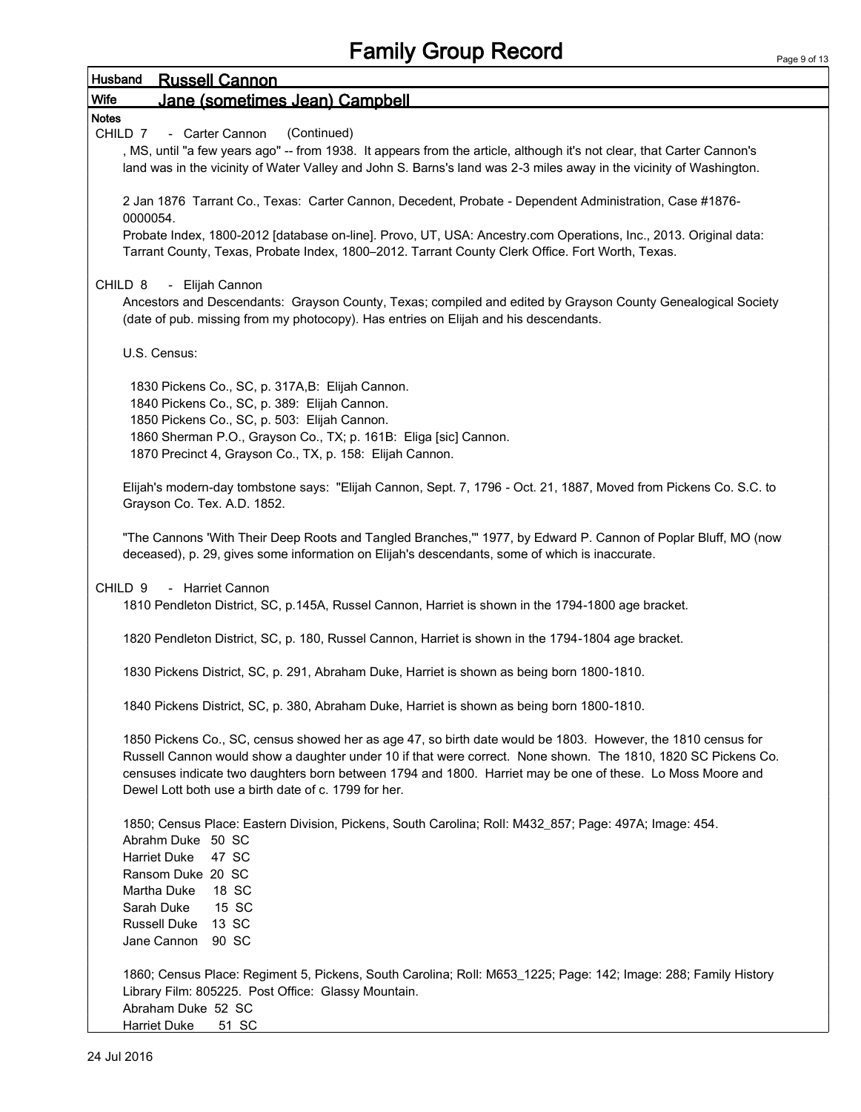| Husband<br><b>Russell Cannon</b>                                                                                                                                                                                                                                                                                                                                                                    |
|-----------------------------------------------------------------------------------------------------------------------------------------------------------------------------------------------------------------------------------------------------------------------------------------------------------------------------------------------------------------------------------------------------|
| Wife<br>Jane (sometimes Jean) Campbell                                                                                                                                                                                                                                                                                                                                                              |
| <b>Notes</b>                                                                                                                                                                                                                                                                                                                                                                                        |
| (Continued)<br>CHILD 7<br>- Carter Cannon                                                                                                                                                                                                                                                                                                                                                           |
| , MS, until "a few years ago" -- from 1938. It appears from the article, although it's not clear, that Carter Cannon's<br>land was in the vicinity of Water Valley and John S. Barns's land was 2-3 miles away in the vicinity of Washington.                                                                                                                                                       |
| 2 Jan 1876 Tarrant Co., Texas: Carter Cannon, Decedent, Probate - Dependent Administration, Case #1876-<br>0000054.                                                                                                                                                                                                                                                                                 |
| Probate Index, 1800-2012 [database on-line]. Provo, UT, USA: Ancestry.com Operations, Inc., 2013. Original data:<br>Tarrant County, Texas, Probate Index, 1800-2012. Tarrant County Clerk Office. Fort Worth, Texas.                                                                                                                                                                                |
| - Elijah Cannon<br>CHILD 8<br>Ancestors and Descendants: Grayson County, Texas; compiled and edited by Grayson County Genealogical Society<br>(date of pub. missing from my photocopy). Has entries on Elijah and his descendants.                                                                                                                                                                  |
| U.S. Census:                                                                                                                                                                                                                                                                                                                                                                                        |
| 1830 Pickens Co., SC, p. 317A, B: Elijah Cannon.                                                                                                                                                                                                                                                                                                                                                    |
| 1840 Pickens Co., SC, p. 389: Elijah Cannon.                                                                                                                                                                                                                                                                                                                                                        |
| 1850 Pickens Co., SC, p. 503: Elijah Cannon.                                                                                                                                                                                                                                                                                                                                                        |
| 1860 Sherman P.O., Grayson Co., TX; p. 161B: Eliga [sic] Cannon.                                                                                                                                                                                                                                                                                                                                    |
| 1870 Precinct 4, Grayson Co., TX, p. 158: Elijah Cannon.                                                                                                                                                                                                                                                                                                                                            |
| Elijah's modern-day tombstone says: "Elijah Cannon, Sept. 7, 1796 - Oct. 21, 1887, Moved from Pickens Co. S.C. to<br>Grayson Co. Tex. A.D. 1852.                                                                                                                                                                                                                                                    |
| "The Cannons 'With Their Deep Roots and Tangled Branches,"" 1977, by Edward P. Cannon of Poplar Bluff, MO (now<br>deceased), p. 29, gives some information on Elijah's descendants, some of which is inaccurate.                                                                                                                                                                                    |
| - Harriet Cannon<br>CHILD <sub>9</sub><br>1810 Pendleton District, SC, p.145A, Russel Cannon, Harriet is shown in the 1794-1800 age bracket.                                                                                                                                                                                                                                                        |
| 1820 Pendleton District, SC, p. 180, Russel Cannon, Harriet is shown in the 1794-1804 age bracket.                                                                                                                                                                                                                                                                                                  |
| 1830 Pickens District, SC, p. 291, Abraham Duke, Harriet is shown as being born 1800-1810.                                                                                                                                                                                                                                                                                                          |
| 1840 Pickens District, SC, p. 380, Abraham Duke, Harriet is shown as being born 1800-1810.                                                                                                                                                                                                                                                                                                          |
| 1850 Pickens Co., SC, census showed her as age 47, so birth date would be 1803. However, the 1810 census for<br>Russell Cannon would show a daughter under 10 if that were correct. None shown. The 1810, 1820 SC Pickens Co.<br>censuses indicate two daughters born between 1794 and 1800. Harriet may be one of these. Lo Moss Moore and<br>Dewel Lott both use a birth date of c. 1799 for her. |
| 1850; Census Place: Eastern Division, Pickens, South Carolina; Roll: M432_857; Page: 497A; Image: 454.                                                                                                                                                                                                                                                                                              |
| Abrahm Duke 50 SC                                                                                                                                                                                                                                                                                                                                                                                   |
| Harriet Duke<br>47 SC                                                                                                                                                                                                                                                                                                                                                                               |
| Ransom Duke 20 SC<br>Martha Duke<br>18 SC                                                                                                                                                                                                                                                                                                                                                           |
| 15 SC<br>Sarah Duke                                                                                                                                                                                                                                                                                                                                                                                 |
| Russell Duke 13 SC                                                                                                                                                                                                                                                                                                                                                                                  |
| Jane Cannon 90 SC                                                                                                                                                                                                                                                                                                                                                                                   |
| 1860; Census Place: Regiment 5, Pickens, South Carolina; Roll: M653_1225; Page: 142; Image: 288; Family History<br>Library Film: 805225. Post Office: Glassy Mountain.<br>Abraham Duke 52 SC                                                                                                                                                                                                        |
| <b>Harriet Duke</b><br>51 SC                                                                                                                                                                                                                                                                                                                                                                        |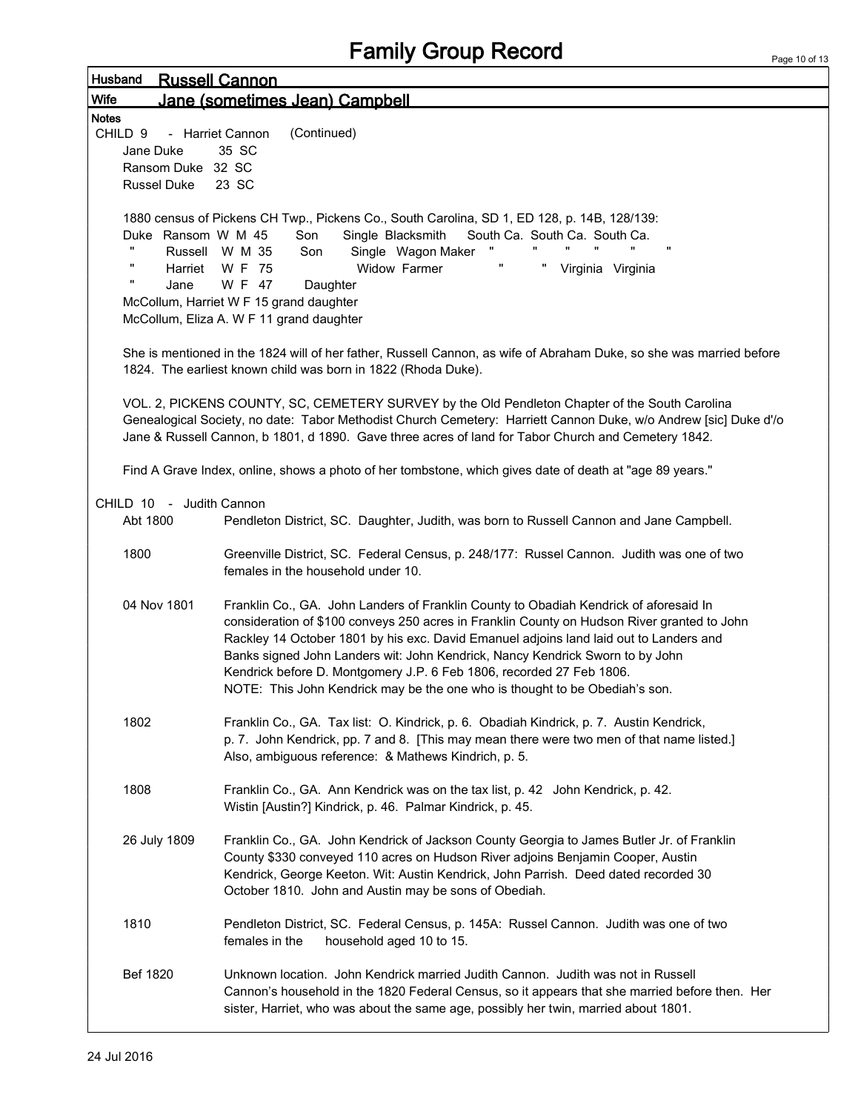Page 10 of 13

| Husband      |                                         | <b>Russell Cannon</b>                                                                                               |
|--------------|-----------------------------------------|---------------------------------------------------------------------------------------------------------------------|
| Wife         |                                         | Jane (sometimes Jean) Campbell                                                                                      |
| <b>Notes</b> |                                         |                                                                                                                     |
|              | CHILD <sub>9</sub>                      | (Continued)<br>- Harriet Cannon                                                                                     |
|              | Jane Duke                               | 35 SC                                                                                                               |
|              | Ransom Duke 32 SC<br><b>Russel Duke</b> | 23 SC                                                                                                               |
|              |                                         |                                                                                                                     |
|              |                                         | 1880 census of Pickens CH Twp., Pickens Co., South Carolina, SD 1, ED 128, p. 14B, 128/139:                         |
|              | Duke Ransom W M 45                      | Son<br>Single Blacksmith<br>South Ca. South Ca. South Ca.                                                           |
|              |                                         | $\pmb{\mathsf{H}}$<br>Single Wagon Maker<br>Russell W M 35<br>Son                                                   |
|              | π<br>Harriet                            | Widow Farmer<br>π<br>W F 75<br>Virginia Virginia                                                                    |
|              | $\mathbf{u}$<br>Jane                    | W F 47<br>Daughter                                                                                                  |
|              |                                         | McCollum, Harriet W F 15 grand daughter                                                                             |
|              |                                         | McCollum, Eliza A. W F 11 grand daughter                                                                            |
|              |                                         | She is mentioned in the 1824 will of her father, Russell Cannon, as wife of Abraham Duke, so she was married before |
|              |                                         | 1824. The earliest known child was born in 1822 (Rhoda Duke).                                                       |
|              |                                         |                                                                                                                     |
|              |                                         | VOL. 2, PICKENS COUNTY, SC, CEMETERY SURVEY by the Old Pendleton Chapter of the South Carolina                      |
|              |                                         | Genealogical Society, no date: Tabor Methodist Church Cemetery: Harriett Cannon Duke, w/o Andrew [sic] Duke d'/o    |
|              |                                         | Jane & Russell Cannon, b 1801, d 1890. Gave three acres of land for Tabor Church and Cemetery 1842.                 |
|              |                                         |                                                                                                                     |
|              |                                         | Find A Grave Index, online, shows a photo of her tombstone, which gives date of death at "age 89 years."            |
|              | CHILD 10 - Judith Cannon                |                                                                                                                     |
|              | Abt 1800                                | Pendleton District, SC. Daughter, Judith, was born to Russell Cannon and Jane Campbell.                             |
|              |                                         |                                                                                                                     |
|              | 1800                                    | Greenville District, SC. Federal Census, p. 248/177: Russel Cannon. Judith was one of two                           |
|              |                                         | females in the household under 10.                                                                                  |
|              | 04 Nov 1801                             | Franklin Co., GA. John Landers of Franklin County to Obadiah Kendrick of aforesaid In                               |
|              |                                         | consideration of \$100 conveys 250 acres in Franklin County on Hudson River granted to John                         |
|              |                                         | Rackley 14 October 1801 by his exc. David Emanuel adjoins land laid out to Landers and                              |
|              |                                         | Banks signed John Landers wit: John Kendrick, Nancy Kendrick Sworn to by John                                       |
|              |                                         | Kendrick before D. Montgomery J.P. 6 Feb 1806, recorded 27 Feb 1806.                                                |
|              |                                         | NOTE: This John Kendrick may be the one who is thought to be Obediah's son.                                         |
|              |                                         |                                                                                                                     |
|              | 1802                                    | Franklin Co., GA. Tax list: O. Kindrick, p. 6. Obadiah Kindrick, p. 7. Austin Kendrick,                             |
|              |                                         | p. 7. John Kendrick, pp. 7 and 8. [This may mean there were two men of that name listed.]                           |
|              |                                         | Also, ambiguous reference: & Mathews Kindrich, p. 5.                                                                |
|              | 1808                                    | Franklin Co., GA. Ann Kendrick was on the tax list, p. 42 John Kendrick, p. 42.                                     |
|              |                                         | Wistin [Austin?] Kindrick, p. 46. Palmar Kindrick, p. 45.                                                           |
|              |                                         |                                                                                                                     |
|              | 26 July 1809                            | Franklin Co., GA. John Kendrick of Jackson County Georgia to James Butler Jr. of Franklin                           |
|              |                                         | County \$330 conveyed 110 acres on Hudson River adjoins Benjamin Cooper, Austin                                     |
|              |                                         | Kendrick, George Keeton. Wit: Austin Kendrick, John Parrish. Deed dated recorded 30                                 |
|              |                                         | October 1810. John and Austin may be sons of Obediah.                                                               |
|              | 1810                                    | Pendleton District, SC. Federal Census, p. 145A: Russel Cannon. Judith was one of two                               |
|              |                                         | females in the<br>household aged 10 to 15.                                                                          |
|              |                                         |                                                                                                                     |
|              | Bef 1820                                | Unknown location. John Kendrick married Judith Cannon. Judith was not in Russell                                    |
|              |                                         | Cannon's household in the 1820 Federal Census, so it appears that she married before then. Her                      |
|              |                                         | sister, Harriet, who was about the same age, possibly her twin, married about 1801.                                 |
|              |                                         |                                                                                                                     |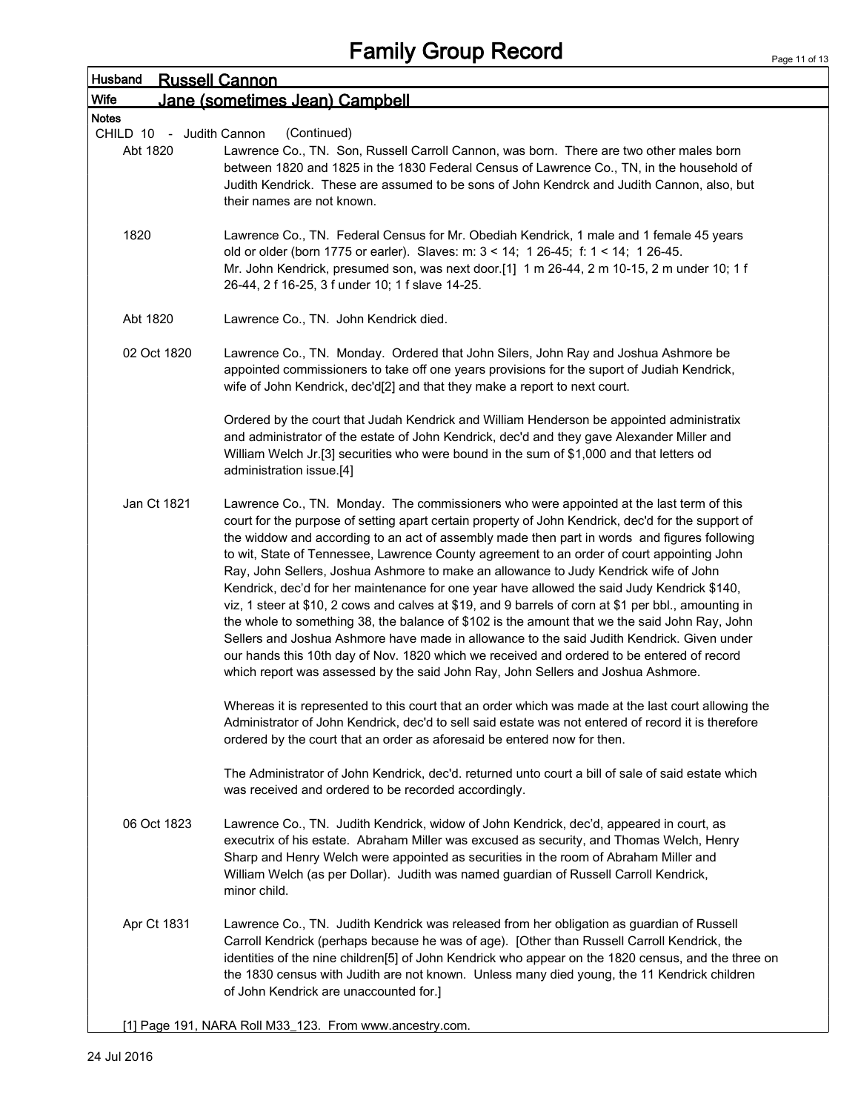| Husband<br><u>Russell Cannon</u>     |                                                                                                                                                                                                                                                                                                                                                                                                                                                                                                                                                                                                                                                                                                                                                                                                                                                                                                                                                                                                                                                                             |  |  |  |
|--------------------------------------|-----------------------------------------------------------------------------------------------------------------------------------------------------------------------------------------------------------------------------------------------------------------------------------------------------------------------------------------------------------------------------------------------------------------------------------------------------------------------------------------------------------------------------------------------------------------------------------------------------------------------------------------------------------------------------------------------------------------------------------------------------------------------------------------------------------------------------------------------------------------------------------------------------------------------------------------------------------------------------------------------------------------------------------------------------------------------------|--|--|--|
| Wife                                 | Jane (sometimes Jean) Campbell                                                                                                                                                                                                                                                                                                                                                                                                                                                                                                                                                                                                                                                                                                                                                                                                                                                                                                                                                                                                                                              |  |  |  |
| <b>Notes</b>                         |                                                                                                                                                                                                                                                                                                                                                                                                                                                                                                                                                                                                                                                                                                                                                                                                                                                                                                                                                                                                                                                                             |  |  |  |
| CHILD 10 - Judith Cannon<br>Abt 1820 | (Continued)<br>Lawrence Co., TN. Son, Russell Carroll Cannon, was born. There are two other males born<br>between 1820 and 1825 in the 1830 Federal Census of Lawrence Co., TN, in the household of<br>Judith Kendrick. These are assumed to be sons of John Kendrck and Judith Cannon, also, but<br>their names are not known.                                                                                                                                                                                                                                                                                                                                                                                                                                                                                                                                                                                                                                                                                                                                             |  |  |  |
| 1820                                 | Lawrence Co., TN. Federal Census for Mr. Obediah Kendrick, 1 male and 1 female 45 years<br>old or older (born 1775 or earler). Slaves: m: 3 < 14; 1 26-45; f: 1 < 14; 1 26-45.<br>Mr. John Kendrick, presumed son, was next door.[1] 1 m 26-44, 2 m 10-15, 2 m under 10; 1 f<br>26-44, 2 f 16-25, 3 f under 10; 1 f slave 14-25.                                                                                                                                                                                                                                                                                                                                                                                                                                                                                                                                                                                                                                                                                                                                            |  |  |  |
| Abt 1820                             | Lawrence Co., TN. John Kendrick died.                                                                                                                                                                                                                                                                                                                                                                                                                                                                                                                                                                                                                                                                                                                                                                                                                                                                                                                                                                                                                                       |  |  |  |
| 02 Oct 1820                          | Lawrence Co., TN. Monday. Ordered that John Silers, John Ray and Joshua Ashmore be<br>appointed commissioners to take off one years provisions for the suport of Judiah Kendrick,<br>wife of John Kendrick, dec'd[2] and that they make a report to next court.                                                                                                                                                                                                                                                                                                                                                                                                                                                                                                                                                                                                                                                                                                                                                                                                             |  |  |  |
|                                      | Ordered by the court that Judah Kendrick and William Henderson be appointed administratix<br>and administrator of the estate of John Kendrick, dec'd and they gave Alexander Miller and<br>William Welch Jr.[3] securities who were bound in the sum of \$1,000 and that letters od<br>administration issue.[4]                                                                                                                                                                                                                                                                                                                                                                                                                                                                                                                                                                                                                                                                                                                                                             |  |  |  |
| Jan Ct 1821                          | Lawrence Co., TN. Monday. The commissioners who were appointed at the last term of this<br>court for the purpose of setting apart certain property of John Kendrick, dec'd for the support of<br>the widdow and according to an act of assembly made then part in words and figures following<br>to wit, State of Tennessee, Lawrence County agreement to an order of court appointing John<br>Ray, John Sellers, Joshua Ashmore to make an allowance to Judy Kendrick wife of John<br>Kendrick, dec'd for her maintenance for one year have allowed the said Judy Kendrick \$140,<br>viz, 1 steer at \$10, 2 cows and calves at \$19, and 9 barrels of corn at \$1 per bbl., amounting in<br>the whole to something 38, the balance of \$102 is the amount that we the said John Ray, John<br>Sellers and Joshua Ashmore have made in allowance to the said Judith Kendrick. Given under<br>our hands this 10th day of Nov. 1820 which we received and ordered to be entered of record<br>which report was assessed by the said John Ray, John Sellers and Joshua Ashmore. |  |  |  |
|                                      | Whereas it is represented to this court that an order which was made at the last court allowing the<br>Administrator of John Kendrick, dec'd to sell said estate was not entered of record it is therefore<br>ordered by the court that an order as aforesaid be entered now for then.                                                                                                                                                                                                                                                                                                                                                                                                                                                                                                                                                                                                                                                                                                                                                                                      |  |  |  |
|                                      | The Administrator of John Kendrick, dec'd. returned unto court a bill of sale of said estate which<br>was received and ordered to be recorded accordingly.                                                                                                                                                                                                                                                                                                                                                                                                                                                                                                                                                                                                                                                                                                                                                                                                                                                                                                                  |  |  |  |
| 06 Oct 1823                          | Lawrence Co., TN. Judith Kendrick, widow of John Kendrick, dec'd, appeared in court, as<br>executrix of his estate. Abraham Miller was excused as security, and Thomas Welch, Henry<br>Sharp and Henry Welch were appointed as securities in the room of Abraham Miller and<br>William Welch (as per Dollar). Judith was named guardian of Russell Carroll Kendrick,<br>minor child.                                                                                                                                                                                                                                                                                                                                                                                                                                                                                                                                                                                                                                                                                        |  |  |  |
| Apr Ct 1831                          | Lawrence Co., TN. Judith Kendrick was released from her obligation as guardian of Russell<br>Carroll Kendrick (perhaps because he was of age). [Other than Russell Carroll Kendrick, the<br>identities of the nine children[5] of John Kendrick who appear on the 1820 census, and the three on<br>the 1830 census with Judith are not known. Unless many died young, the 11 Kendrick children<br>of John Kendrick are unaccounted for.]                                                                                                                                                                                                                                                                                                                                                                                                                                                                                                                                                                                                                                    |  |  |  |

[1] Page 191, NARA Roll M33\_123. From www.ancestry.com.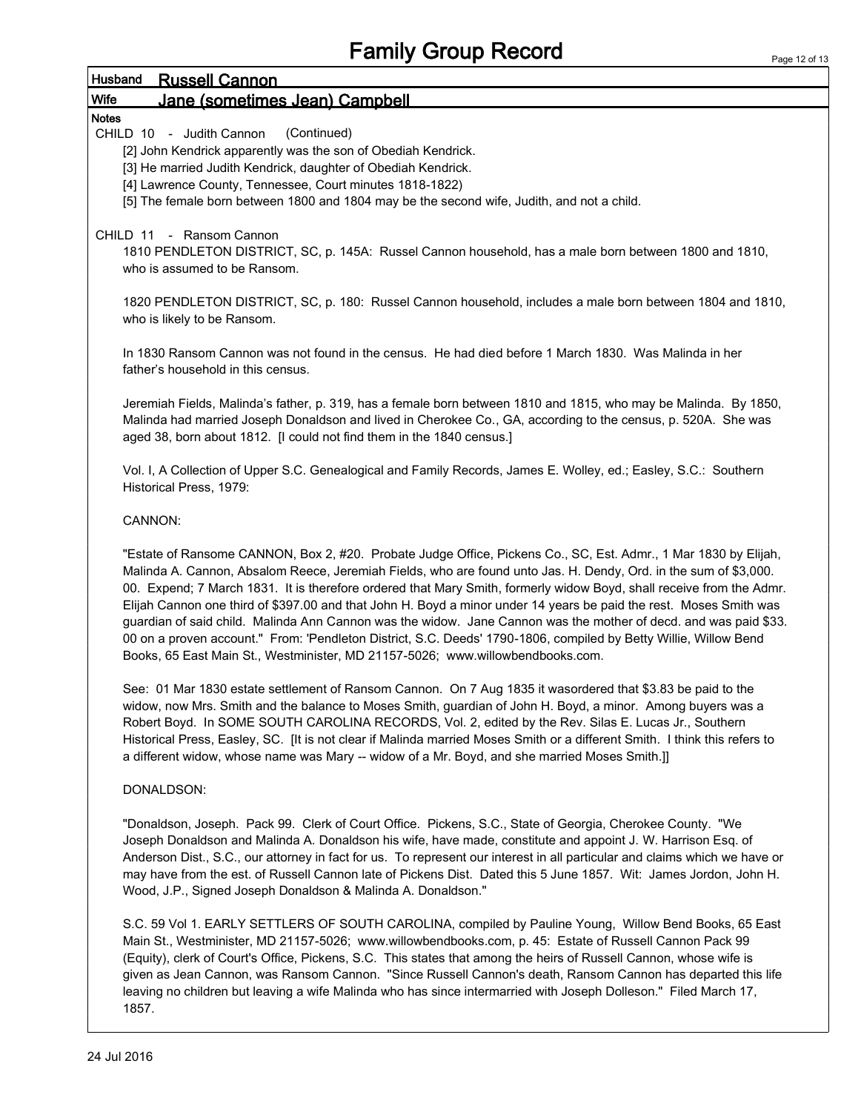#### Husband Russell Cannon Wife Jane (sometimes Jean) Campbell

#### **Notes**

CHILD 10 - Judith Cannon (Continued)

[2] John Kendrick apparently was the son of Obediah Kendrick.

- [3] He married Judith Kendrick, daughter of Obediah Kendrick.
- [4] Lawrence County, Tennessee, Court minutes 1818-1822)
- [5] The female born between 1800 and 1804 may be the second wife, Judith, and not a child.

#### CHILD 11 - Ransom Cannon

1810 PENDLETON DISTRICT, SC, p. 145A: Russel Cannon household, has a male born between 1800 and 1810, who is assumed to be Ransom.

1820 PENDLETON DISTRICT, SC, p. 180: Russel Cannon household, includes a male born between 1804 and 1810, who is likely to be Ransom.

In 1830 Ransom Cannon was not found in the census. He had died before 1 March 1830. Was Malinda in her father's household in this census.

Jeremiah Fields, Malinda's father, p. 319, has a female born between 1810 and 1815, who may be Malinda. By 1850, Malinda had married Joseph Donaldson and lived in Cherokee Co., GA, according to the census, p. 520A. She was aged 38, born about 1812. [I could not find them in the 1840 census.]

Vol. I, A Collection of Upper S.C. Genealogical and Family Records, James E. Wolley, ed.; Easley, S.C.: Southern Historical Press, 1979:

#### CANNON:

"Estate of Ransome CANNON, Box 2, #20. Probate Judge Office, Pickens Co., SC, Est. Admr., 1 Mar 1830 by Elijah, Malinda A. Cannon, Absalom Reece, Jeremiah Fields, who are found unto Jas. H. Dendy, Ord. in the sum of \$3,000. 00. Expend; 7 March 1831. It is therefore ordered that Mary Smith, formerly widow Boyd, shall receive from the Admr. Elijah Cannon one third of \$397.00 and that John H. Boyd a minor under 14 years be paid the rest. Moses Smith was guardian of said child. Malinda Ann Cannon was the widow. Jane Cannon was the mother of decd. and was paid \$33. 00 on a proven account." From: 'Pendleton District, S.C. Deeds' 1790-1806, compiled by Betty Willie, Willow Bend Books, 65 East Main St., Westminister, MD 21157-5026; www.willowbendbooks.com.

See: 01 Mar 1830 estate settlement of Ransom Cannon. On 7 Aug 1835 it wasordered that \$3.83 be paid to the widow, now Mrs. Smith and the balance to Moses Smith, guardian of John H. Boyd, a minor. Among buyers was a Robert Boyd. In SOME SOUTH CAROLINA RECORDS, Vol. 2, edited by the Rev. Silas E. Lucas Jr., Southern Historical Press, Easley, SC. [It is not clear if Malinda married Moses Smith or a different Smith. I think this refers to a different widow, whose name was Mary -- widow of a Mr. Boyd, and she married Moses Smith.]]

#### DONALDSON:

"Donaldson, Joseph. Pack 99. Clerk of Court Office. Pickens, S.C., State of Georgia, Cherokee County. "We Joseph Donaldson and Malinda A. Donaldson his wife, have made, constitute and appoint J. W. Harrison Esq. of Anderson Dist., S.C., our attorney in fact for us. To represent our interest in all particular and claims which we have or may have from the est. of Russell Cannon late of Pickens Dist. Dated this 5 June 1857. Wit: James Jordon, John H. Wood, J.P., Signed Joseph Donaldson & Malinda A. Donaldson."

S.C. 59 Vol 1. EARLY SETTLERS OF SOUTH CAROLINA, compiled by Pauline Young, Willow Bend Books, 65 East Main St., Westminister, MD 21157-5026; www.willowbendbooks.com, p. 45: Estate of Russell Cannon Pack 99 (Equity), clerk of Court's Office, Pickens, S.C. This states that among the heirs of Russell Cannon, whose wife is given as Jean Cannon, was Ransom Cannon. "Since Russell Cannon's death, Ransom Cannon has departed this life leaving no children but leaving a wife Malinda who has since intermarried with Joseph Dolleson." Filed March 17, 1857.